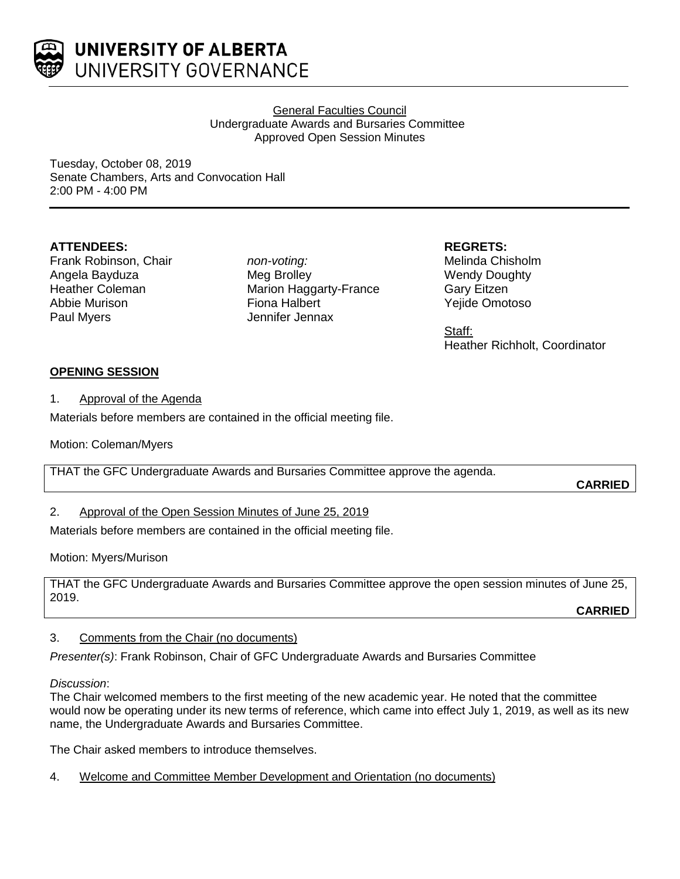

UNIVERSITY OF ALBERTA UNIVERSITY GOVERNANCE

> General Faculties Council Undergraduate Awards and Bursaries Committee Approved Open Session Minutes

Tuesday, October 08, 2019 Senate Chambers, Arts and Convocation Hall 2:00 PM - 4:00 PM

## **ATTENDEES:**

Frank Robinson, Chair Angela Bayduza Heather Coleman Abbie Murison Paul Myers

*non-voting:* Meg Brolley Marion Haggarty-France Fiona Halbert Jennifer Jennax

**REGRETS:**

Melinda Chisholm Wendy Doughty Gary Eitzen Yejide Omotoso

Staff: Heather Richholt, Coordinator

# **OPENING SESSION**

1. Approval of the Agenda

Materials before members are contained in the official meeting file.

Motion: Coleman/Myers

THAT the GFC Undergraduate Awards and Bursaries Committee approve the agenda.

**CARRIED**

2. Approval of the Open Session Minutes of June 25, 2019

Materials before members are contained in the official meeting file.

Motion: Myers/Murison

THAT the GFC Undergraduate Awards and Bursaries Committee approve the open session minutes of June 25, 2019.

**CARRIED**

# 3. Comments from the Chair (no documents)

*Presenter(s)*: Frank Robinson, Chair of GFC Undergraduate Awards and Bursaries Committee

## *Discussion*:

The Chair welcomed members to the first meeting of the new academic year. He noted that the committee would now be operating under its new terms of reference, which came into effect July 1, 2019, as well as its new name, the Undergraduate Awards and Bursaries Committee.

The Chair asked members to introduce themselves.

4. Welcome and Committee Member Development and Orientation (no documents)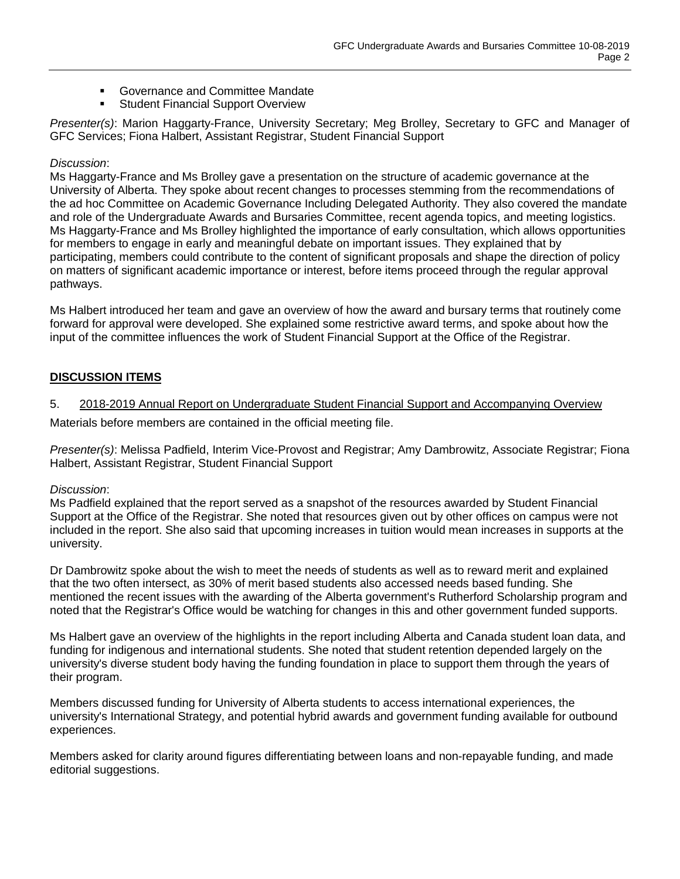- **EXECOVERTANCE And Committee Mandate**
- Student Financial Support Overview

*Presenter(s)*: Marion Haggarty-France, University Secretary; Meg Brolley, Secretary to GFC and Manager of GFC Services; Fiona Halbert, Assistant Registrar, Student Financial Support

## *Discussion*:

Ms Haggarty-France and Ms Brolley gave a presentation on the structure of academic governance at the University of Alberta. They spoke about recent changes to processes stemming from the recommendations of the ad hoc Committee on Academic Governance Including Delegated Authority. They also covered the mandate and role of the Undergraduate Awards and Bursaries Committee, recent agenda topics, and meeting logistics. Ms Haggarty-France and Ms Brolley highlighted the importance of early consultation, which allows opportunities for members to engage in early and meaningful debate on important issues. They explained that by participating, members could contribute to the content of significant proposals and shape the direction of policy on matters of significant academic importance or interest, before items proceed through the regular approval pathways.

Ms Halbert introduced her team and gave an overview of how the award and bursary terms that routinely come forward for approval were developed. She explained some restrictive award terms, and spoke about how the input of the committee influences the work of Student Financial Support at the Office of the Registrar.

# **DISCUSSION ITEMS**

## 5. 2018-2019 Annual Report on Undergraduate Student Financial Support and Accompanying Overview

Materials before members are contained in the official meeting file.

*Presenter(s)*: Melissa Padfield, Interim Vice-Provost and Registrar; Amy Dambrowitz, Associate Registrar; Fiona Halbert, Assistant Registrar, Student Financial Support

## *Discussion*:

Ms Padfield explained that the report served as a snapshot of the resources awarded by Student Financial Support at the Office of the Registrar. She noted that resources given out by other offices on campus were not included in the report. She also said that upcoming increases in tuition would mean increases in supports at the university.

Dr Dambrowitz spoke about the wish to meet the needs of students as well as to reward merit and explained that the two often intersect, as 30% of merit based students also accessed needs based funding. She mentioned the recent issues with the awarding of the Alberta government's Rutherford Scholarship program and noted that the Registrar's Office would be watching for changes in this and other government funded supports.

Ms Halbert gave an overview of the highlights in the report including Alberta and Canada student loan data, and funding for indigenous and international students. She noted that student retention depended largely on the university's diverse student body having the funding foundation in place to support them through the years of their program.

Members discussed funding for University of Alberta students to access international experiences, the university's International Strategy, and potential hybrid awards and government funding available for outbound experiences.

Members asked for clarity around figures differentiating between loans and non-repayable funding, and made editorial suggestions.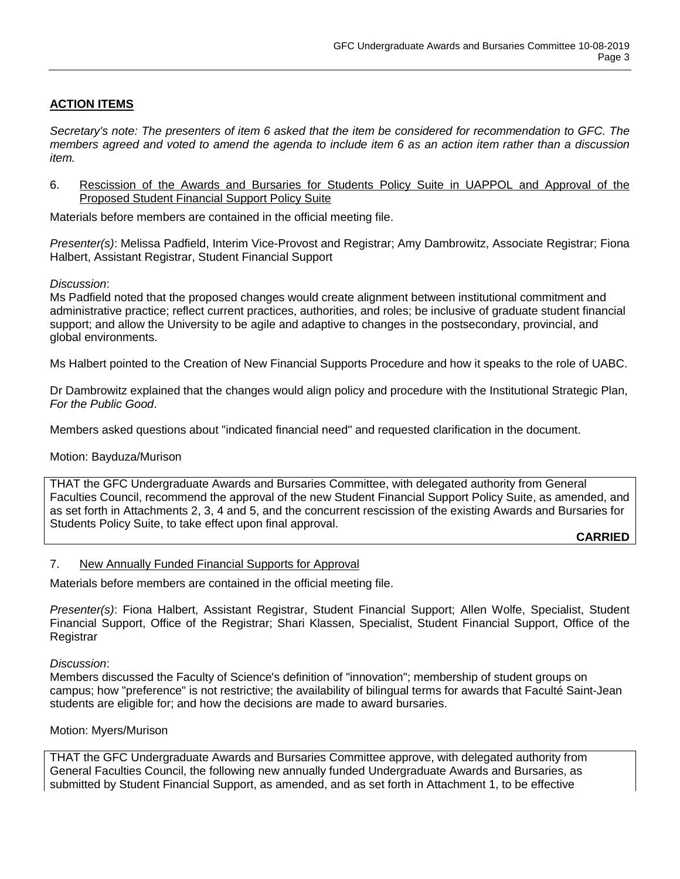# **ACTION ITEMS**

*Secretary's note: The presenters of item 6 asked that the item be considered for recommendation to GFC. The members agreed and voted to amend the agenda to include item 6 as an action item rather than a discussion item.*

6. Rescission of the Awards and Bursaries for Students Policy Suite in UAPPOL and Approval of the Proposed Student Financial Support Policy Suite

Materials before members are contained in the official meeting file.

*Presenter(s)*: Melissa Padfield, Interim Vice-Provost and Registrar; Amy Dambrowitz, Associate Registrar; Fiona Halbert, Assistant Registrar, Student Financial Support

## *Discussion*:

Ms Padfield noted that the proposed changes would create alignment between institutional commitment and administrative practice; reflect current practices, authorities, and roles; be inclusive of graduate student financial support; and allow the University to be agile and adaptive to changes in the postsecondary, provincial, and global environments.

Ms Halbert pointed to the Creation of New Financial Supports Procedure and how it speaks to the role of UABC.

Dr Dambrowitz explained that the changes would align policy and procedure with the Institutional Strategic Plan, *For the Public Good*.

Members asked questions about "indicated financial need" and requested clarification in the document.

## Motion: Bayduza/Murison

THAT the GFC Undergraduate Awards and Bursaries Committee, with delegated authority from General Faculties Council, recommend the approval of the new Student Financial Support Policy Suite, as amended, and as set forth in Attachments 2, 3, 4 and 5, and the concurrent rescission of the existing Awards and Bursaries for Students Policy Suite, to take effect upon final approval.

**CARRIED**

## 7. New Annually Funded Financial Supports for Approval

Materials before members are contained in the official meeting file.

*Presenter(s)*: Fiona Halbert, Assistant Registrar, Student Financial Support; Allen Wolfe, Specialist, Student Financial Support, Office of the Registrar; Shari Klassen, Specialist, Student Financial Support, Office of the **Registrar** 

#### *Discussion*:

Members discussed the Faculty of Science's definition of "innovation"; membership of student groups on campus; how "preference" is not restrictive; the availability of bilingual terms for awards that Faculté Saint-Jean students are eligible for; and how the decisions are made to award bursaries.

#### Motion: Myers/Murison

THAT the GFC Undergraduate Awards and Bursaries Committee approve, with delegated authority from General Faculties Council, the following new annually funded Undergraduate Awards and Bursaries, as submitted by Student Financial Support, as amended, and as set forth in Attachment 1, to be effective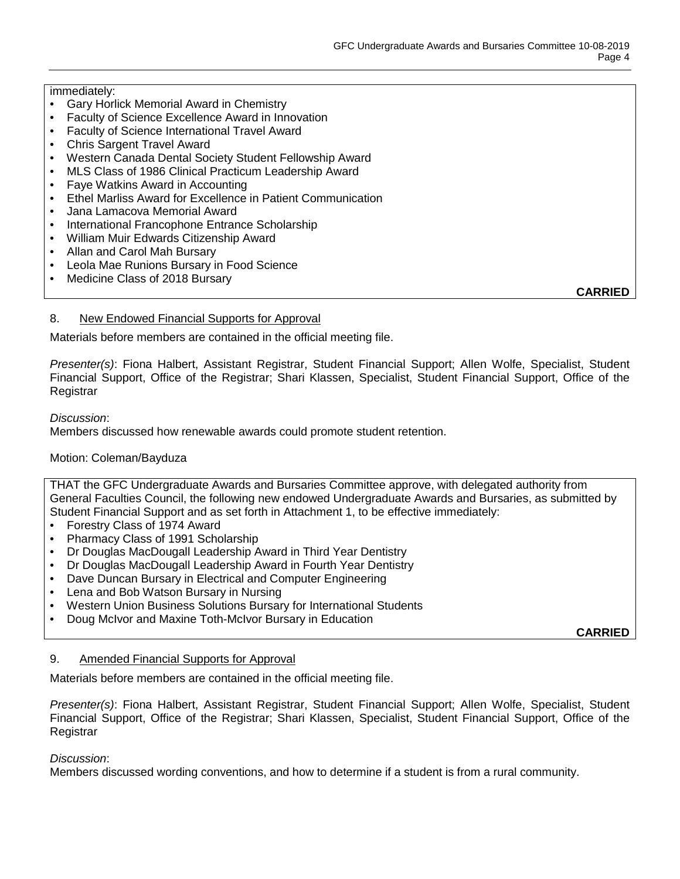## immediately:

- Gary Horlick Memorial Award in Chemistry
- Faculty of Science Excellence Award in Innovation
- Faculty of Science International Travel Award
- Chris Sargent Travel Award
- Western Canada Dental Society Student Fellowship Award
- MLS Class of 1986 Clinical Practicum Leadership Award
- Faye Watkins Award in Accounting
- Ethel Marliss Award for Excellence in Patient Communication
- Jana Lamacova Memorial Award
- International Francophone Entrance Scholarship
- William Muir Edwards Citizenship Award
- Allan and Carol Mah Bursary
- Leola Mae Runions Bursary in Food Science
- Medicine Class of 2018 Bursary

**CARRIED**

## 8. New Endowed Financial Supports for Approval

Materials before members are contained in the official meeting file.

*Presenter(s)*: Fiona Halbert, Assistant Registrar, Student Financial Support; Allen Wolfe, Specialist, Student Financial Support, Office of the Registrar; Shari Klassen, Specialist, Student Financial Support, Office of the **Registrar** 

### *Discussion*:

Members discussed how renewable awards could promote student retention.

## Motion: Coleman/Bayduza

THAT the GFC Undergraduate Awards and Bursaries Committee approve, with delegated authority from General Faculties Council, the following new endowed Undergraduate Awards and Bursaries, as submitted by Student Financial Support and as set forth in Attachment 1, to be effective immediately:

- Forestry Class of 1974 Award
- Pharmacy Class of 1991 Scholarship
- Dr Douglas MacDougall Leadership Award in Third Year Dentistry
- Dr Douglas MacDougall Leadership Award in Fourth Year Dentistry
- Dave Duncan Bursary in Electrical and Computer Engineering
- Lena and Bob Watson Bursary in Nursing
- Western Union Business Solutions Bursary for International Students
- Doug McIvor and Maxine Toth-McIvor Bursary in Education

**CARRIED**

## 9. Amended Financial Supports for Approval

Materials before members are contained in the official meeting file.

*Presenter(s)*: Fiona Halbert, Assistant Registrar, Student Financial Support; Allen Wolfe, Specialist, Student Financial Support, Office of the Registrar; Shari Klassen, Specialist, Student Financial Support, Office of the **Registrar** 

#### *Discussion*:

Members discussed wording conventions, and how to determine if a student is from a rural community.